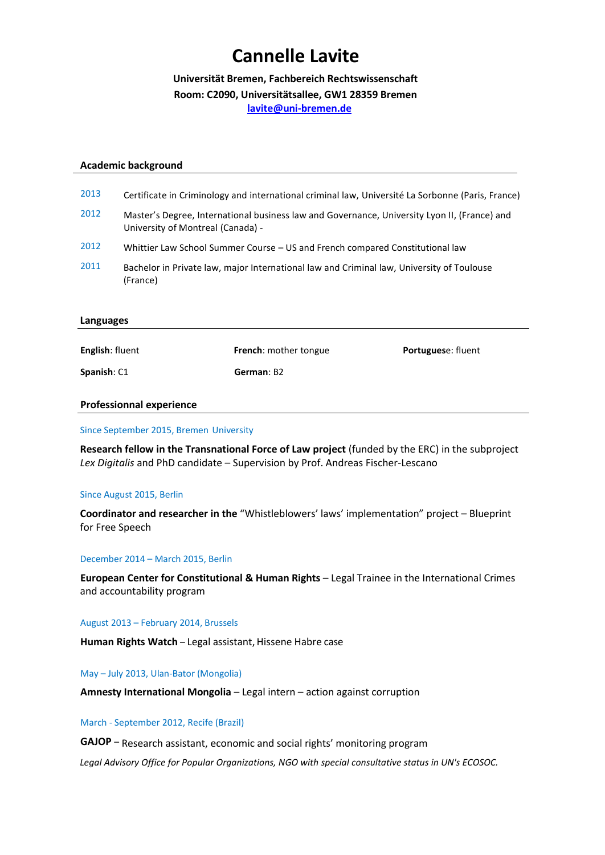# **Cannelle Lavite**

**Universität Bremen, Fachbereich Rechtswissenschaft Room: C2090, Universitätsallee, GW1 28359 Bremen lavite@uni-bremen.de**

#### **Academic background**

| 2013      | Certificate in Criminology and international criminal law, Université La Sorbonne (Paris, France)                                 |
|-----------|-----------------------------------------------------------------------------------------------------------------------------------|
| 2012      | Master's Degree, International business law and Governance, University Lyon II, (France) and<br>University of Montreal (Canada) - |
| 2012      | Whittier Law School Summer Course - US and French compared Constitutional law                                                     |
| 2011      | Bachelor in Private law, major International law and Criminal law, University of Toulouse<br>(France)                             |
| Languages |                                                                                                                                   |

**English**: fluent **French**: mother tongue **Portugues**e: fluent

**Spanish**: C1 **German**: B2 **German**: B2

## **Professionnal experience**

Since September 2015, Bremen University

**Research fellow in the Transnational Force of Law project** (funded by the ERC) in the subproject *Lex Digitalis* and PhD candidate – Supervision by Prof. Andreas Fischer-Lescano

#### Since August 2015, Berlin

**Coordinator and researcher in the** "Whistleblowers' laws' implementation" project – Blueprint for Free Speech

#### December 2014 – March 2015, Berlin

**European Center for Constitutional & Human Rights** – Legal Trainee in the International Crimes and accountability program

#### August 2013 – February 2014, Brussels

**Human Rights Watch** – Legal assistant, Hissene Habre case

# May – July 2013, Ulan-Bator (Mongolia)

**Amnesty International Mongolia** – Legal intern – action against corruption

#### March - September 2012, Recife (Brazil)

**GAJOP** – Research assistant, economic and social rights' monitoring program

*Legal Advisory Office for Popular Organizations, NGO with special consultative status in UN's ECOSOC.*